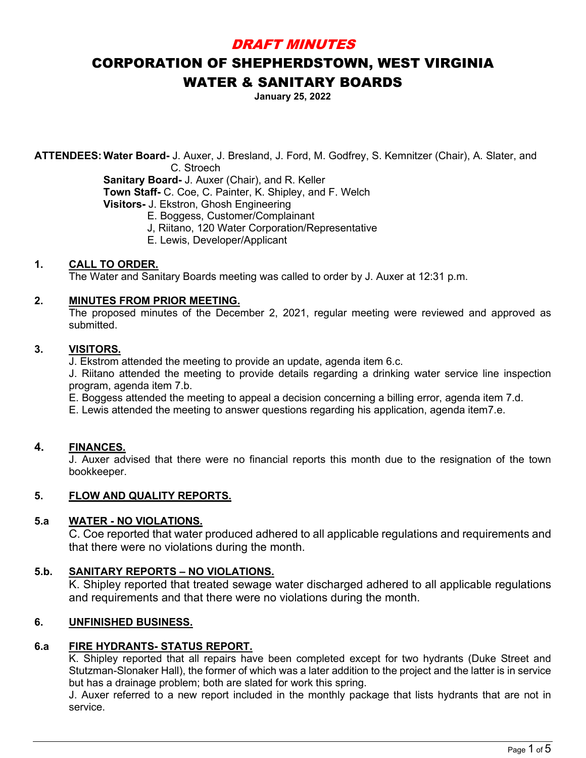## DRAFT MINUTES

# CORPORATION OF SHEPHERDSTOWN, WEST VIRGINIA WATER & SANITARY BOARDS

**January 25, 2022**

**ATTENDEES:Water Board-** J. Auxer, J. Bresland, J. Ford, M. Godfrey, S. Kemnitzer (Chair), A. Slater, and C. Stroech

**Sanitary Board-** J. Auxer (Chair), and R. Keller **Town Staff-** C. Coe, C. Painter, K. Shipley, and F. Welch **Visitors-** J. Ekstron, Ghosh Engineering

E. Boggess, Customer/Complainant

- J, Riitano, 120 Water Corporation/Representative
- E. Lewis, Developer/Applicant

## **1. CALL TO ORDER.**

The Water and Sanitary Boards meeting was called to order by J. Auxer at 12:31 p.m.

#### **2. MINUTES FROM PRIOR MEETING.**

The proposed minutes of the December 2, 2021, regular meeting were reviewed and approved as submitted.

## **3. VISITORS.**

J. Ekstrom attended the meeting to provide an update, agenda item 6.c.

J. Riitano attended the meeting to provide details regarding a drinking water service line inspection program, agenda item 7.b.

E. Boggess attended the meeting to appeal a decision concerning a billing error, agenda item 7.d.

E. Lewis attended the meeting to answer questions regarding his application, agenda item7.e.

## **4. FINANCES.**

J. Auxer advised that there were no financial reports this month due to the resignation of the town bookkeeper.

#### **5. FLOW AND QUALITY REPORTS.**

## **5.a WATER - NO VIOLATIONS.**

C. Coe reported that water produced adhered to all applicable regulations and requirements and that there were no violations during the month.

## **5.b. SANITARY REPORTS – NO VIOLATIONS.**

K. Shipley reported that treated sewage water discharged adhered to all applicable regulations and requirements and that there were no violations during the month.

## **6. UNFINISHED BUSINESS.**

## **6.a FIRE HYDRANTS- STATUS REPORT.**

K. Shipley reported that all repairs have been completed except for two hydrants (Duke Street and Stutzman-Slonaker Hall), the former of which was a later addition to the project and the latter is in service but has a drainage problem; both are slated for work this spring.

J. Auxer referred to a new report included in the monthly package that lists hydrants that are not in service.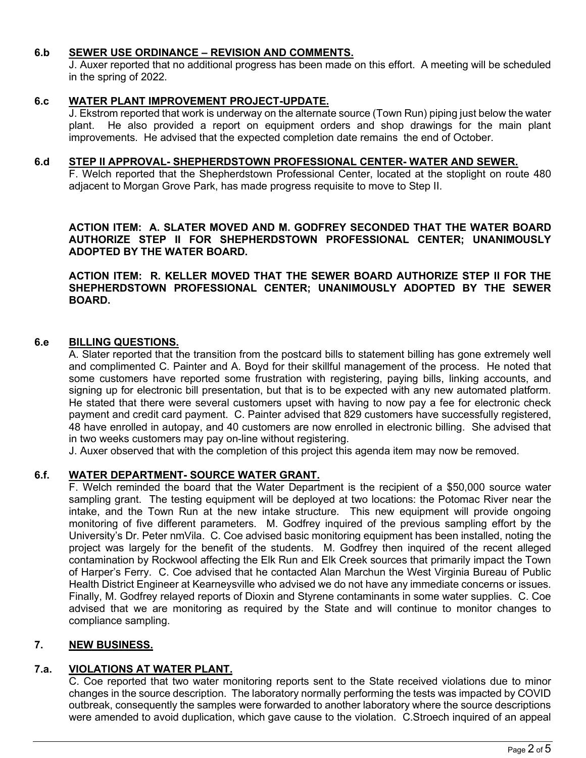#### **6.b SEWER USE ORDINANCE – REVISION AND COMMENTS.**

J. Auxer reported that no additional progress has been made on this effort. A meeting will be scheduled in the spring of 2022.

#### **6.c WATER PLANT IMPROVEMENT PROJECT-UPDATE.**

J. Ekstrom reported that work is underway on the alternate source (Town Run) piping just below the water plant. He also provided a report on equipment orders and shop drawings for the main plant improvements. He advised that the expected completion date remains the end of October.

#### **6.d STEP II APPROVAL- SHEPHERDSTOWN PROFESSIONAL CENTER- WATER AND SEWER.**

F. Welch reported that the Shepherdstown Professional Center, located at the stoplight on route 480 adjacent to Morgan Grove Park, has made progress requisite to move to Step II.

## **ACTION ITEM: A. SLATER MOVED AND M. GODFREY SECONDED THAT THE WATER BOARD AUTHORIZE STEP II FOR SHEPHERDSTOWN PROFESSIONAL CENTER; UNANIMOUSLY ADOPTED BY THE WATER BOARD.**

**ACTION ITEM: R. KELLER MOVED THAT THE SEWER BOARD AUTHORIZE STEP II FOR THE SHEPHERDSTOWN PROFESSIONAL CENTER; UNANIMOUSLY ADOPTED BY THE SEWER BOARD.**

#### **6.e BILLING QUESTIONS.**

A. Slater reported that the transition from the postcard bills to statement billing has gone extremely well and complimented C. Painter and A. Boyd for their skillful management of the process. He noted that some customers have reported some frustration with registering, paying bills, linking accounts, and signing up for electronic bill presentation, but that is to be expected with any new automated platform. He stated that there were several customers upset with having to now pay a fee for electronic check payment and credit card payment. C. Painter advised that 829 customers have successfully registered, 48 have enrolled in autopay, and 40 customers are now enrolled in electronic billing. She advised that in two weeks customers may pay on-line without registering.

J. Auxer observed that with the completion of this project this agenda item may now be removed.

#### **6.f. WATER DEPARTMENT- SOURCE WATER GRANT.**

F. Welch reminded the board that the Water Department is the recipient of a \$50,000 source water sampling grant. The testing equipment will be deployed at two locations: the Potomac River near the intake, and the Town Run at the new intake structure. This new equipment will provide ongoing monitoring of five different parameters. M. Godfrey inquired of the previous sampling effort by the University's Dr. Peter nmVila. C. Coe advised basic monitoring equipment has been installed, noting the project was largely for the benefit of the students. M. Godfrey then inquired of the recent alleged contamination by Rockwool affecting the Elk Run and Elk Creek sources that primarily impact the Town of Harper's Ferry. C. Coe advised that he contacted Alan Marchun the West Virginia Bureau of Public Health District Engineer at Kearneysville who advised we do not have any immediate concerns or issues. Finally, M. Godfrey relayed reports of Dioxin and Styrene contaminants in some water supplies. C. Coe advised that we are monitoring as required by the State and will continue to monitor changes to compliance sampling.

## **7. NEW BUSINESS.**

## **7.a. VIOLATIONS AT WATER PLANT.**

C. Coe reported that two water monitoring reports sent to the State received violations due to minor changes in the source description. The laboratory normally performing the tests was impacted by COVID outbreak, consequently the samples were forwarded to another laboratory where the source descriptions were amended to avoid duplication, which gave cause to the violation. C.Stroech inquired of an appeal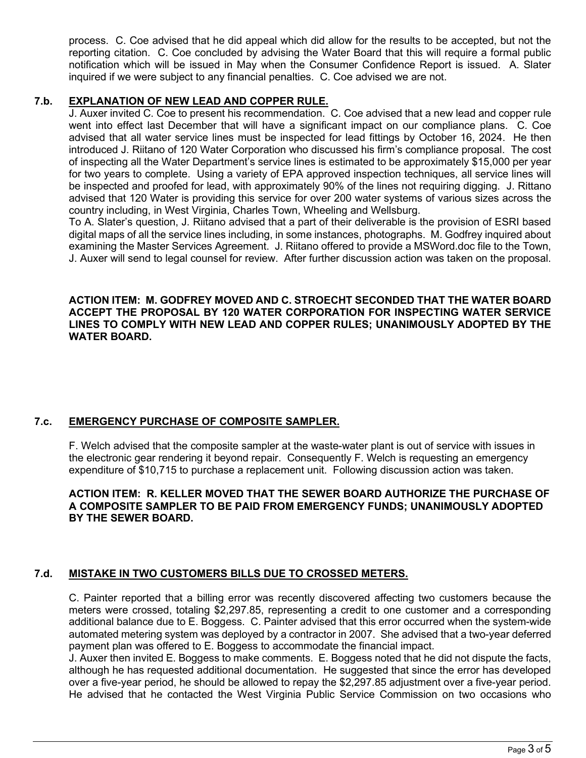process. C. Coe advised that he did appeal which did allow for the results to be accepted, but not the reporting citation. C. Coe concluded by advising the Water Board that this will require a formal public notification which will be issued in May when the Consumer Confidence Report is issued. A. Slater inquired if we were subject to any financial penalties. C. Coe advised we are not.

## **7.b. EXPLANATION OF NEW LEAD AND COPPER RULE.**

J. Auxer invited C. Coe to present his recommendation. C. Coe advised that a new lead and copper rule went into effect last December that will have a significant impact on our compliance plans. C. Coe advised that all water service lines must be inspected for lead fittings by October 16, 2024. He then introduced J. Riitano of 120 Water Corporation who discussed his firm's compliance proposal. The cost of inspecting all the Water Department's service lines is estimated to be approximately \$15,000 per year for two years to complete. Using a variety of EPA approved inspection techniques, all service lines will be inspected and proofed for lead, with approximately 90% of the lines not requiring digging. J. Rittano advised that 120 Water is providing this service for over 200 water systems of various sizes across the country including, in West Virginia, Charles Town, Wheeling and Wellsburg.

To A. Slater's question, J. Riitano advised that a part of their deliverable is the provision of ESRI based digital maps of all the service lines including, in some instances, photographs. M. Godfrey inquired about examining the Master Services Agreement. J. Riitano offered to provide a MSWord.doc file to the Town, J. Auxer will send to legal counsel for review. After further discussion action was taken on the proposal.

#### **ACTION ITEM: M. GODFREY MOVED AND C. STROECHT SECONDED THAT THE WATER BOARD ACCEPT THE PROPOSAL BY 120 WATER CORPORATION FOR INSPECTING WATER SERVICE LINES TO COMPLY WITH NEW LEAD AND COPPER RULES; UNANIMOUSLY ADOPTED BY THE WATER BOARD.**

## **7.c. EMERGENCY PURCHASE OF COMPOSITE SAMPLER.**

F. Welch advised that the composite sampler at the waste-water plant is out of service with issues in the electronic gear rendering it beyond repair. Consequently F. Welch is requesting an emergency expenditure of \$10,715 to purchase a replacement unit. Following discussion action was taken.

#### **ACTION ITEM: R. KELLER MOVED THAT THE SEWER BOARD AUTHORIZE THE PURCHASE OF A COMPOSITE SAMPLER TO BE PAID FROM EMERGENCY FUNDS; UNANIMOUSLY ADOPTED BY THE SEWER BOARD.**

## **7.d. MISTAKE IN TWO CUSTOMERS BILLS DUE TO CROSSED METERS.**

C. Painter reported that a billing error was recently discovered affecting two customers because the meters were crossed, totaling \$2,297.85, representing a credit to one customer and a corresponding additional balance due to E. Boggess. C. Painter advised that this error occurred when the system-wide automated metering system was deployed by a contractor in 2007. She advised that a two-year deferred payment plan was offered to E. Boggess to accommodate the financial impact.

J. Auxer then invited E. Boggess to make comments. E. Boggess noted that he did not dispute the facts, although he has requested additional documentation. He suggested that since the error has developed over a five-year period, he should be allowed to repay the \$2,297.85 adjustment over a five-year period. He advised that he contacted the West Virginia Public Service Commission on two occasions who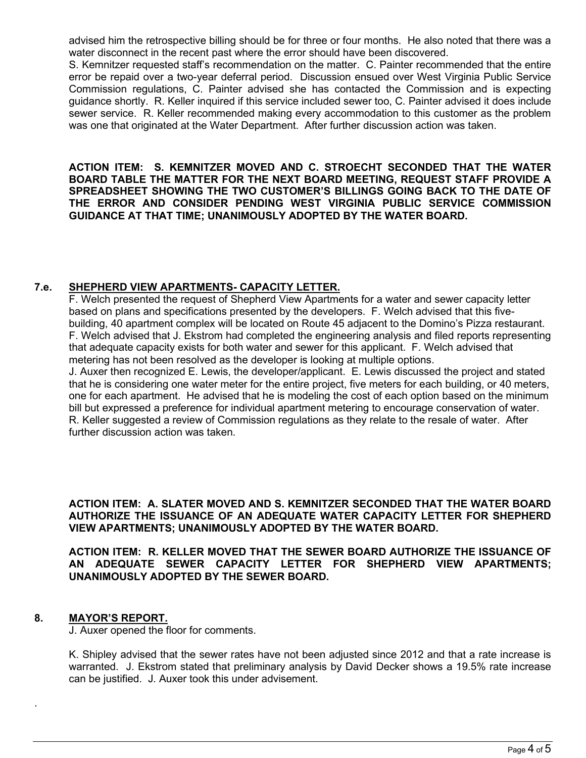advised him the retrospective billing should be for three or four months. He also noted that there was a water disconnect in the recent past where the error should have been discovered.

S. Kemnitzer requested staff's recommendation on the matter. C. Painter recommended that the entire error be repaid over a two-year deferral period. Discussion ensued over West Virginia Public Service Commission regulations, C. Painter advised she has contacted the Commission and is expecting guidance shortly. R. Keller inquired if this service included sewer too, C. Painter advised it does include sewer service. R. Keller recommended making every accommodation to this customer as the problem was one that originated at the Water Department. After further discussion action was taken.

**ACTION ITEM: S. KEMNITZER MOVED AND C. STROECHT SECONDED THAT THE WATER BOARD TABLE THE MATTER FOR THE NEXT BOARD MEETING, REQUEST STAFF PROVIDE A SPREADSHEET SHOWING THE TWO CUSTOMER'S BILLINGS GOING BACK TO THE DATE OF THE ERROR AND CONSIDER PENDING WEST VIRGINIA PUBLIC SERVICE COMMISSION GUIDANCE AT THAT TIME; UNANIMOUSLY ADOPTED BY THE WATER BOARD.**

## **7.e. SHEPHERD VIEW APARTMENTS- CAPACITY LETTER.**

F. Welch presented the request of Shepherd View Apartments for a water and sewer capacity letter based on plans and specifications presented by the developers. F. Welch advised that this fivebuilding, 40 apartment complex will be located on Route 45 adjacent to the Domino's Pizza restaurant. F. Welch advised that J. Ekstrom had completed the engineering analysis and filed reports representing that adequate capacity exists for both water and sewer for this applicant. F. Welch advised that metering has not been resolved as the developer is looking at multiple options.

J. Auxer then recognized E. Lewis, the developer/applicant. E. Lewis discussed the project and stated that he is considering one water meter for the entire project, five meters for each building, or 40 meters, one for each apartment. He advised that he is modeling the cost of each option based on the minimum bill but expressed a preference for individual apartment metering to encourage conservation of water. R. Keller suggested a review of Commission regulations as they relate to the resale of water. After further discussion action was taken.

**ACTION ITEM: A. SLATER MOVED AND S. KEMNITZER SECONDED THAT THE WATER BOARD AUTHORIZE THE ISSUANCE OF AN ADEQUATE WATER CAPACITY LETTER FOR SHEPHERD VIEW APARTMENTS; UNANIMOUSLY ADOPTED BY THE WATER BOARD.**

**ACTION ITEM: R. KELLER MOVED THAT THE SEWER BOARD AUTHORIZE THE ISSUANCE OF AN ADEQUATE SEWER CAPACITY LETTER FOR SHEPHERD VIEW APARTMENTS; UNANIMOUSLY ADOPTED BY THE SEWER BOARD.**

## **8. MAYOR'S REPORT.**

.

J. Auxer opened the floor for comments.

K. Shipley advised that the sewer rates have not been adjusted since 2012 and that a rate increase is warranted. J. Ekstrom stated that preliminary analysis by David Decker shows a 19.5% rate increase can be justified. J. Auxer took this under advisement.